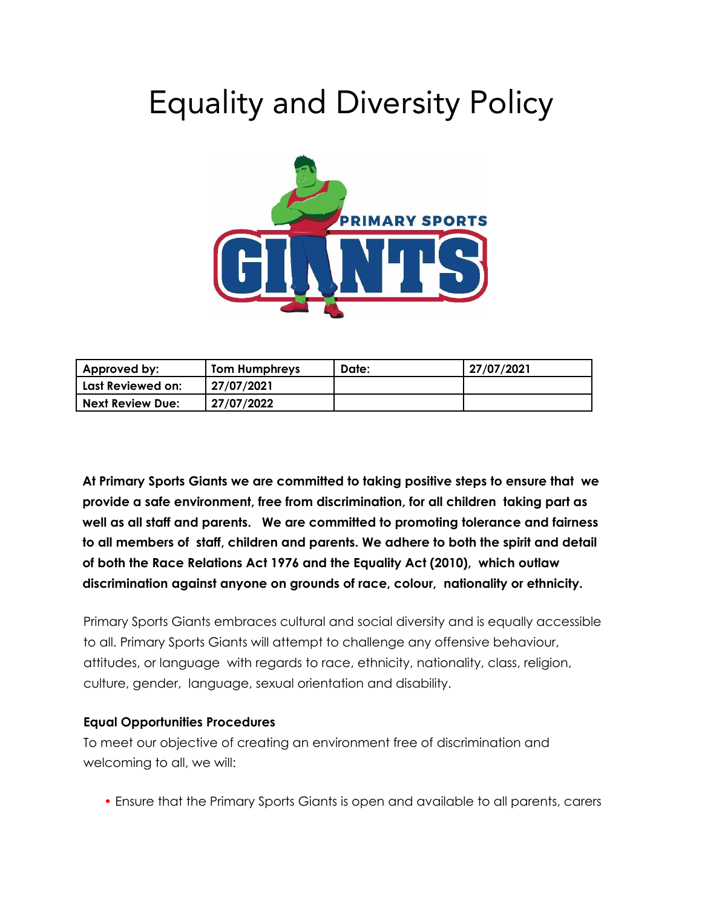# Equality and Diversity Policy



| ' Approved by:          | <b>Tom Humphreys</b> | Date: | 27/07/2021 |
|-------------------------|----------------------|-------|------------|
| Last Reviewed on:       | 27/07/2021           |       |            |
| <b>Next Review Due:</b> | 27/07/2022           |       |            |

**At Primary Sports Giants we are committed to taking positive steps to ensure that we provide a safe environment, free from discrimination, for all children taking part as well as all staff and parents. We are committed to promoting tolerance and fairness to all members of staff, children and parents. We adhere to both the spirit and detail of both the Race Relations Act 1976 and the Equality Act (2010), which outlaw discrimination against anyone on grounds of race, colour, nationality or ethnicity.**

Primary Sports Giants embraces cultural and social diversity and is equally accessible to all. Primary Sports Giants will attempt to challenge any offensive behaviour, attitudes, or language with regards to race, ethnicity, nationality, class, religion, culture, gender, language, sexual orientation and disability.

#### **Equal Opportunities Procedures**

To meet our objective of creating an environment free of discrimination and welcoming to all, we will:

• Ensure that the Primary Sports Giants is open and available to all parents, carers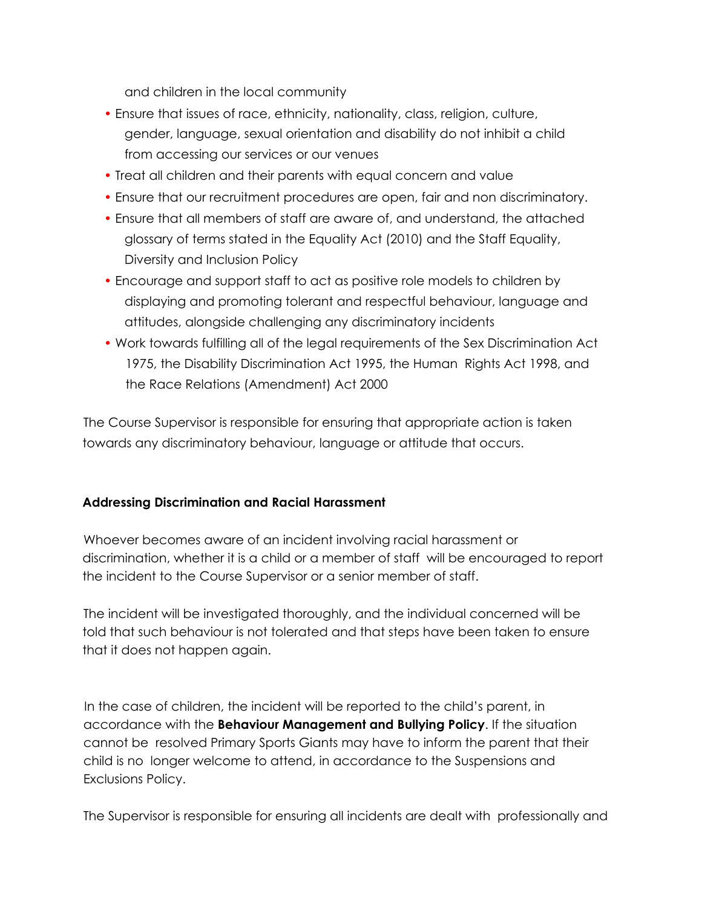and children in the local community

- Ensure that issues of race, ethnicity, nationality, class, religion, culture, gender, language, sexual orientation and disability do not inhibit a child from accessing our services or our venues
- Treat all children and their parents with equal concern and value
- Ensure that our recruitment procedures are open, fair and non discriminatory.
- Ensure that all members of staff are aware of, and understand, the attached glossary of terms stated in the Equality Act (2010) and the Staff Equality, Diversity and Inclusion Policy
- Encourage and support staff to act as positive role models to children by displaying and promoting tolerant and respectful behaviour, language and attitudes, alongside challenging any discriminatory incidents
- Work towards fulfilling all of the legal requirements of the Sex Discrimination Act 1975, the Disability Discrimination Act 1995, the Human Rights Act 1998, and the Race Relations (Amendment) Act 2000

The Course Supervisor is responsible for ensuring that appropriate action is taken towards any discriminatory behaviour, language or attitude that occurs.

## **Addressing Discrimination and Racial Harassment**

Whoever becomes aware of an incident involving racial harassment or discrimination, whether it is a child or a member of staff will be encouraged to report the incident to the Course Supervisor or a senior member of staff.

The incident will be investigated thoroughly, and the individual concerned will be told that such behaviour is not tolerated and that steps have been taken to ensure that it does not happen again.

In the case of children, the incident will be reported to the child's parent, in accordance with the **Behaviour Management and Bullying Policy**. If the situation cannot be resolved Primary Sports Giants may have to inform the parent that their child is no longer welcome to attend, in accordance to the Suspensions and Exclusions Policy.

The Supervisor is responsible for ensuring all incidents are dealt with professionally and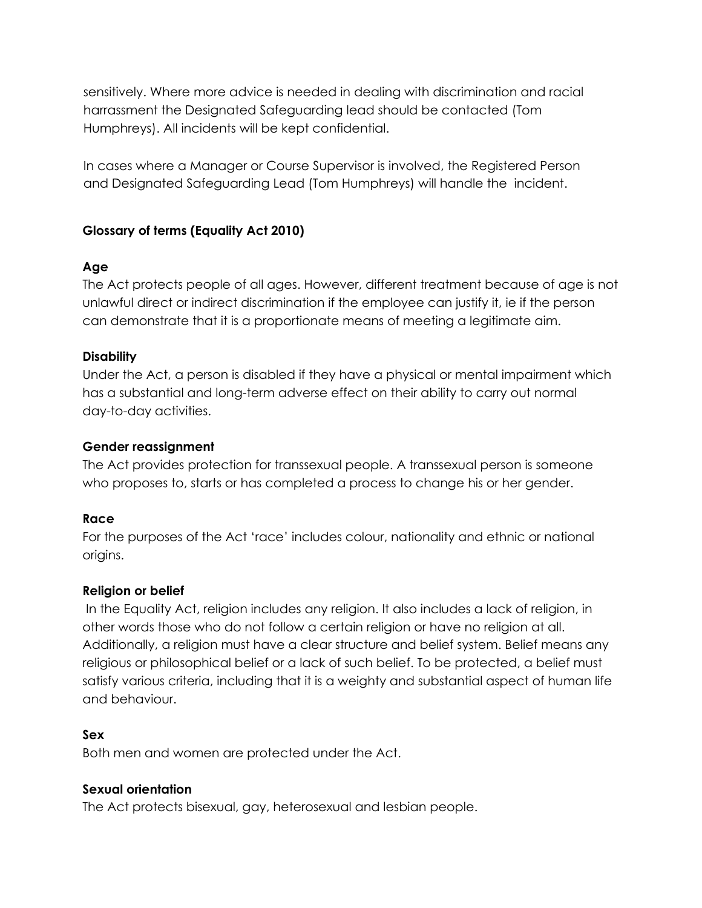sensitively. Where more advice is needed in dealing with discrimination and racial harrassment the Designated Safeguarding lead should be contacted (Tom Humphreys). All incidents will be kept confidential.

In cases where a Manager or Course Supervisor is involved, the Registered Person and Designated Safeguarding Lead (Tom Humphreys) will handle the incident.

## **Glossary of terms (Equality Act 2010)**

## **Age**

The Act protects people of all ages. However, different treatment because of age is not unlawful direct or indirect discrimination if the employee can justify it, ie if the person can demonstrate that it is a proportionate means of meeting a legitimate aim.

### **Disability**

Under the Act, a person is disabled if they have a physical or mental impairment which has a substantial and long-term adverse effect on their ability to carry out normal day-to-day activities.

## **Gender reassignment**

The Act provides protection for transsexual people. A transsexual person is someone who proposes to, starts or has completed a process to change his or her gender.

## **Race**

For the purposes of the Act 'race' includes colour, nationality and ethnic or national origins.

#### **Religion or belief**

In the Equality Act, religion includes any religion. It also includes a lack of religion, in other words those who do not follow a certain religion or have no religion at all. Additionally, a religion must have a clear structure and belief system. Belief means any religious or philosophical belief or a lack of such belief. To be protected, a belief must satisfy various criteria, including that it is a weighty and substantial aspect of human life and behaviour.

## **Sex**

Both men and women are protected under the Act.

## **Sexual orientation**

The Act protects bisexual, gay, heterosexual and lesbian people.